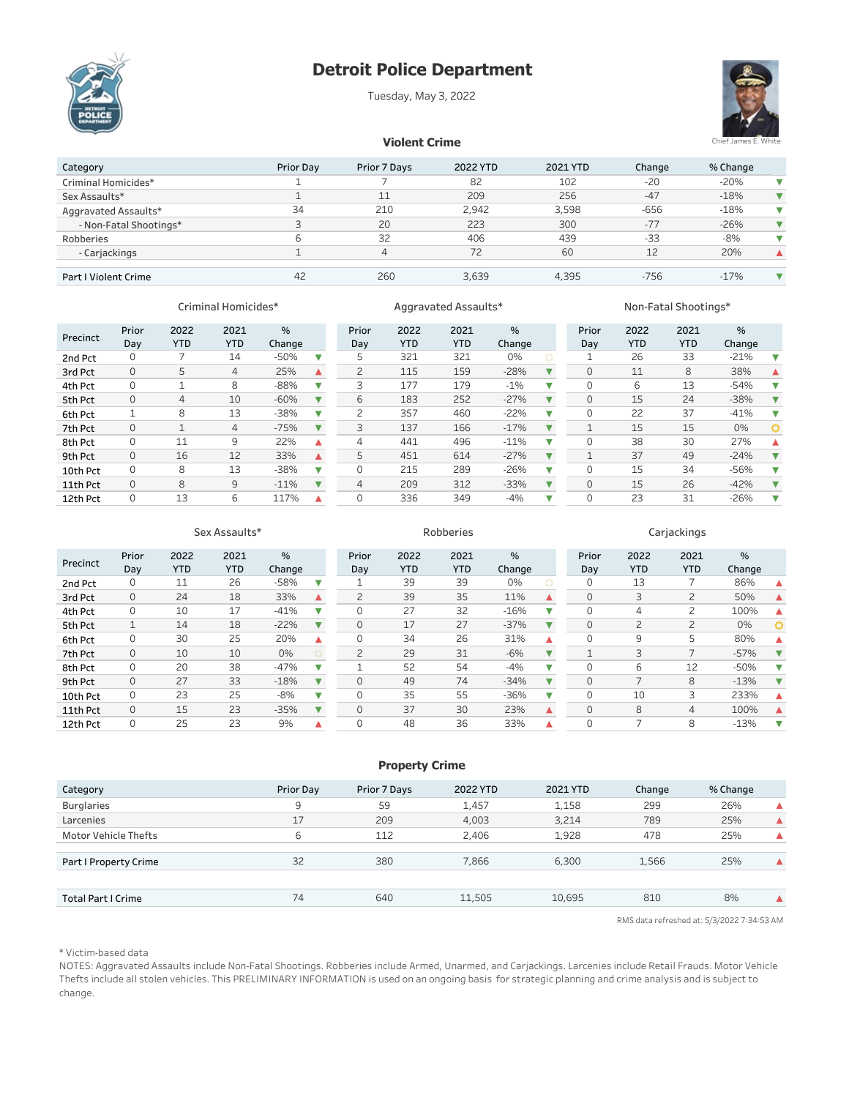# Detroit Police Department

Tuesday, May 3, 2022





%

## **Violent Crime**

| Category               | <b>Prior Dav</b> | Prior 7 Days | 2022 YTD | 2021 YTD | Change | % Change |  |
|------------------------|------------------|--------------|----------|----------|--------|----------|--|
| Criminal Homicides*    |                  |              | 82       | 102      | $-20$  | $-20%$   |  |
| Sex Assaults*          |                  | 11           | 209      | 256      | $-47$  | $-18%$   |  |
| Aggravated Assaults*   | 34               | 210          | 2.942    | 3.598    | $-656$ | $-18%$   |  |
| - Non-Fatal Shootings* | 3                | 20           | 223      | 300      | $-77$  | $-26%$   |  |
| Robberies              | ь                | 32           | 406      | 439      | $-33$  | $-8%$    |  |
| - Carjackings          |                  | 4            | 72       | 60       | 12     | 20%      |  |
|                        |                  |              |          |          |        |          |  |
| Part I Violent Crime   | 42               | 260          | 3,639    | 4.395    | $-756$ | $-17%$   |  |

YTD

### Criminal Homicides\* **Aggravated Assaults\*** American Mon-Fatal Shootings\* of the Mon-Fatal Shootings

#### Prior 2022 2021 % Prior Precinct Day YTD YTD Change Day 2nd Pct 0 7 14 -50%  $\overline{\mathbf{v}}$ 5 321 321 0% 3rdPct 0 5 4 25%  $\blacktriangle$ 2 115 159 -28% 4th Pct 0 1 8 -88% Ÿ 3 177 179 -1% 5thPct 0 4 10 -60% Ŷ 6 183 252 -27% 6th Pct 1 8 13 -38% Ÿ 2 357 460 -22% 7th Pct 0 1 4 -75% Y 3 137 166 -17% 8th Pct 0 11 9 22%<br>9th Pct 0 16 12 33%  $\blacktriangle$ 4 441 496 -11% 9th Pct 0 16 12 33% 5 451 614 -27%  $\blacktriangle$ 10th Pct 0 8 13 -38%  $\overline{\textbf{v}}$ 0 215 289 -26% 11th Pct 0 8 9 -11%  $\overline{\mathbf{v}}$ 4 209 312 -33% 12th Pct 0 13 6 117%  $\blacktriangle$ 0 336 349 -4%

#### 2022 2021

YTD

% Change

 $\overline{\mathbf{v}}$ 

Ÿ

 $\overline{\mathbf{v}}$ 

 $\overline{\textbf{v}}$ 

 $\overline{\mathbf{v}}$ 

 $\overline{\mathbf{v}}$ 

 $\overline{\textbf{v}}$ 

 $\overline{\mathbf{v}}$ 

 $\overline{\mathbf{v}}$ V

2021

2022

Prior

| Day | YTD | <b>YTD</b> | Change |   |
|-----|-----|------------|--------|---|
| 1   | 26  | 33         | $-21%$ |   |
| 0   | 11  | 8          | 38%    |   |
| 0   | 6   | 13         | $-54%$ |   |
| 0   | 15  | 24         | $-38%$ |   |
| 0   | 22  | 37         | $-41%$ |   |
| 1   | 15  | 15         | 0%     | O |
| 0   | 38  | 30         | 27%    |   |
| 1   | 37  | 49         | $-24%$ |   |
| 0   | 15  | 34         | $-56%$ |   |
| 0   | 15  | 26         | $-42%$ |   |
| Λ   | 23  | 31         | $-26%$ |   |
|     |     |            |        |   |

# Sex Assaults\* The Carrier Carrier Carrier Robberies Carrier Carrier Carrier Carrier Carrier Carrier Carrier Carrier Carrier Carrier Carrier Carrier Carrier Carrier Carrier Carrier Carrier Carrier Carrier Carrier Carrier Ca

#### 2022 2021 % 2022 2021 2022 2021 Prior Prior % Prior  $\frac{1}{2}$ Precinct Day YTD YTD Change Day **YTD** YTD Change Day **YTD** YTD Change 2nd Pct 0 11 26 -58% Ÿ 0 13 7 86% 1 39 39 0%  $\blacktriangle$ 3rdPct 0 24 18 33% 2 39 35 11% 0 3 2 50%  $\blacktriangle$  $\blacktriangle$  $\blacktriangle$ 4th Pct 0 10 17 -41% Ÿ 0 27 32 -16% Ÿ 0 4 2 100%  $\blacktriangle$ 5thPct 1 14 18 -22%  $\overline{\mathbf{v}}$ 0 17 27 -37%  $\overline{\mathbf{v}}$  $\circ$ 0 2 2 0% 6th Pct 0 30 25 20%  $\blacktriangle$ 0 9 5 80% 0 34 26 31% Δ Δ 7th Pct 0 10 10 0% 2 29 31 -6%  $\overline{\mathbf{v}}$ 1 3 7 -57%  $\overline{\mathbf{v}}$ 8th Pct 0 20 38 -47% v 0 6 12 -50% v Ÿ 1 52 54 -4% 9th Pct 0 27 33 -18% Y 0 49 74 -34%  $\overline{\mathbf{v}}$ 0 7 8 -13%  $\overline{\textbf{v}}$ 10th Pct 0 23 25 -8% Ÿ 0 35 55 -36% Ÿ 0 10 3 233%  $\blacktriangle$ 11th Pct 0 15 23 -35%  $\blacktriangledown$ 0 37 30 23%  $\blacktriangle$ 0 8 4 100%  $\blacktriangle$ 12th Pct 0 25 23 9% 0 48 36 33% 0 7 8 -13% Â  $\blacktriangle$ Ÿ

### **Property Crime**

| Category                    | Prior Day | Prior 7 Days | 2022 YTD | 2021 YTD | Change | % Change |  |
|-----------------------------|-----------|--------------|----------|----------|--------|----------|--|
| <b>Burglaries</b>           | 9         | 59           | 1,457    | 1,158    | 299    | 26%      |  |
| Larcenies                   | 17        | 209          | 4,003    | 3,214    | 789    | 25%      |  |
| <b>Motor Vehicle Thefts</b> | 6         | 112          | 2.406    | 1,928    | 478    | 25%      |  |
|                             |           |              |          |          |        |          |  |
| Part I Property Crime       | 32        | 380          | 7,866    | 6,300    | 1,566  | 25%      |  |
|                             |           |              |          |          |        |          |  |
| Total Part I Crime          | 74        | 640          | 11,505   | 10,695   | 810    | 8%       |  |
|                             |           |              |          |          |        |          |  |

RMS data refreshed at: 5/3/2022 7:34:53 AM

### \* Victim-based data

NOTES: Aggravated Assaults include Non-Fatal Shootings. Robberies include Armed, Unarmed, and Carjackings. Larcenies include Retail Frauds. Motor Vehicle Thefts include all stolen vehicles. This PRELIMINARY INFORMATION is used on an ongoing basis for strategic planning and crime analysis and is subject to change.